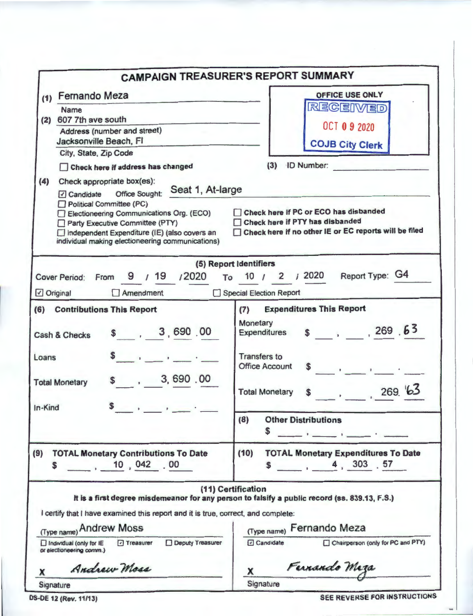|                                                                                                                                                                                                                                                                                                                                                                                                                                                                                           | <b>CAMPAIGN TREASURER'S REPORT SUMMARY</b>                                                                                                                                                                                          |  |  |  |
|-------------------------------------------------------------------------------------------------------------------------------------------------------------------------------------------------------------------------------------------------------------------------------------------------------------------------------------------------------------------------------------------------------------------------------------------------------------------------------------------|-------------------------------------------------------------------------------------------------------------------------------------------------------------------------------------------------------------------------------------|--|--|--|
| (1) Fernando Meza<br><b>Name</b><br>607 7th ave south<br>(2)<br>Address (number and street)<br>Jacksonville Beach, FI<br>City, State, Zip Code<br>Check here if address has changed<br>(4)<br>Check appropriate box(es):<br>Seat 1, At-large<br>Candidate Office Sought:<br>Political Committee (PC)<br>Electioneering Communications Org. (ECO)<br>Party Executive Committee (PTY)<br>□ Independent Expenditure (IE) (also covers an<br>individual making electioneering communications) | OFFICE USE ONLY<br>RECEIVED<br><b>OCT 0 9 2020</b><br><b>COJB City Clerk</b><br>(3) ID Number:<br>Check here if PC or ECO has disbanded<br>Check here if PTY has disbanded<br>Check here if no other IE or EC reports will be filed |  |  |  |
| Cover Period: From 9 / 19 / 2020 To 10 / 2 / 2020 Report Type: G4                                                                                                                                                                                                                                                                                                                                                                                                                         | (5) Report Identifiers                                                                                                                                                                                                              |  |  |  |
| Original<br>$\Box$ Amendment                                                                                                                                                                                                                                                                                                                                                                                                                                                              | Special Election Report                                                                                                                                                                                                             |  |  |  |
| (6) Contributions This Report<br>\$ , 3,690.00<br>Cash & Checks<br>Loans<br>\$3,690.00<br><b>Total Monetary</b><br>\$<br>In-Kind<br>$\frac{1}{2}$                                                                                                                                                                                                                                                                                                                                         | <b>Expenditures This Report</b><br>(7)<br>Monetary<br>Expenditures $$$ , 269 63<br><b>Transfers to</b><br><b>Office Account</b><br>\$ 269.63<br><b>Total Monetary</b>                                                               |  |  |  |
|                                                                                                                                                                                                                                                                                                                                                                                                                                                                                           | (8)<br><b>Other Distributions</b><br>S                                                                                                                                                                                              |  |  |  |
| (9)<br><b>TOTAL Monetary Contributions To Date</b><br>$10,042$ .00<br>\$.                                                                                                                                                                                                                                                                                                                                                                                                                 | <b>TOTAL Monetary Expenditures To Date</b><br>(10)<br>$\frac{1}{2}$ , 4, 303 .57                                                                                                                                                    |  |  |  |
|                                                                                                                                                                                                                                                                                                                                                                                                                                                                                           | (11) Certification                                                                                                                                                                                                                  |  |  |  |
| I certify that I have examined this report and it is true, correct, and complete:<br>(Type name) Andrew Moss                                                                                                                                                                                                                                                                                                                                                                              | It is a first degree misdemeanor for any person to falsify a public record (ss. 839.13, F.S.)<br><b>Fernando Meza</b>                                                                                                               |  |  |  |
| <b>Deputy Treasurer</b><br>□ Treasurer<br>Individual (only for IE<br>or electioneering comm.)                                                                                                                                                                                                                                                                                                                                                                                             | (Type name)<br>Chairperson (only for PC and PTY)<br><b>D</b> Candidate                                                                                                                                                              |  |  |  |
| Andrew Moss<br>x                                                                                                                                                                                                                                                                                                                                                                                                                                                                          | Fernando Maza<br>х                                                                                                                                                                                                                  |  |  |  |
| Signature                                                                                                                                                                                                                                                                                                                                                                                                                                                                                 | Signature                                                                                                                                                                                                                           |  |  |  |
| DS-DE 12 (Rev. 11/13)                                                                                                                                                                                                                                                                                                                                                                                                                                                                     | <b>SEE REVERSE FOR INSTRUCTIONS</b>                                                                                                                                                                                                 |  |  |  |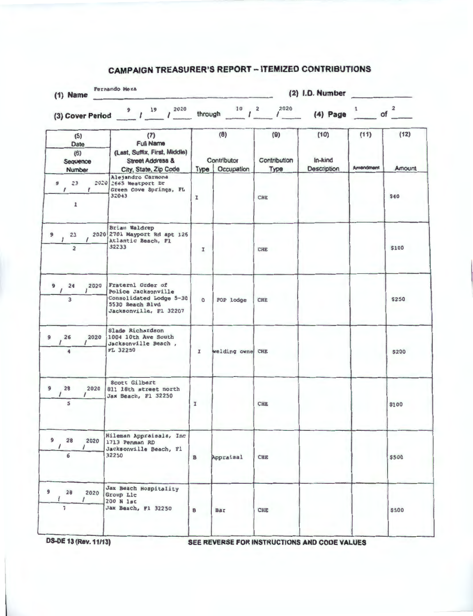## **CAMPAIGN TREASURER'S REPORT - ITEMIZED CONTRIBUTIONS**

| $(1)$ Name                                                 | <b>Fernando Meza</b>                                                                                                                                                 | $(2)$ I.D. Number |                                  |                             |                                       |                   |                |
|------------------------------------------------------------|----------------------------------------------------------------------------------------------------------------------------------------------------------------------|-------------------|----------------------------------|-----------------------------|---------------------------------------|-------------------|----------------|
|                                                            | (3) Cover Period $\frac{9}{4}$ / $\frac{19}{4}$ / $\frac{2020}{4}$ through $\frac{10}{4}$ / $\frac{2}{4}$ / $\frac{2020}{4}$ (4) Page $\frac{1}{4}$ of $\frac{2}{4}$ |                   |                                  |                             |                                       |                   |                |
| (5)<br>Date<br>(6)<br>Sequence<br>Number                   | (7)<br><b>Full Name</b><br>(Last, Suffix, First, Middle)<br><b>Street Address &amp;</b><br>City, State, Zip Code                                                     | <b>Type</b>       | (8)<br>Contributor<br>Occupation | (9)<br>Contribution<br>Туре | (10)<br>In-kind<br><b>Description</b> | (11)<br>Amendment | (12)<br>Amount |
| $23 -$<br>9<br>$\sqrt{2}$<br>$\mathcal{L}$<br>$\mathbf{r}$ | Alejandro Carmona<br>$2020$ 2665 Weatport Dr<br>Green Cove Springs, FL<br>32043                                                                                      | $\mathbf{I}$      |                                  | CHE                         |                                       |                   | <b>S40</b>     |
| 23<br>9<br>$\overline{2}$                                  | Brian Waldrep<br>2020 2701 Mayport Rd apt 126<br>Atlantic Beach, Fl<br>32233                                                                                         | I                 |                                  | CHE                         |                                       |                   | \$100          |
| $9 \t24$<br>2020<br>$\overline{\mathbf{3}}$                | Fraternl Order of<br>Police Jacksonville<br>Consolidated Lodge 5-30<br>5530 Beach Blvd<br>Jacksonville, Fl 32207                                                     | $\circ$           | FOP lodge                        | <b>CHE</b>                  |                                       |                   | \$250          |
| 26<br>2020<br>9<br>$\prime$                                | Slade Richardson<br>1004 10th Ave South<br>Jacksonville Beach,<br><b>FL 32250</b>                                                                                    | I                 | welding owne CHE                 |                             |                                       |                   | \$200          |
| 9<br>28<br>2020<br>5                                       | Scott Gilbert<br>811 18th street north<br>Jax Beach, Fl 32250                                                                                                        | I                 |                                  | <b>CHE</b>                  |                                       |                   | \$100          |
| $\overline{9}$<br>28<br>2020<br>$\prime$<br>6              | Hileman Appraisals, Inc.<br>1713 Penman RD<br>Jacksonville Beach, Fl<br>32250                                                                                        | $\mathbf{B}$      | Appraisal                        | <b>CHE</b>                  |                                       |                   | \$500          |
| 9<br>28<br>2020<br>$\prime$<br>7                           | Jax Beach Hospitality<br>Group Llc<br>200 N 1st<br>Jax Beach, Fl 32250                                                                                               | в                 | Bar                              | CHE                         |                                       |                   | \$500          |

**OS-DE 13 (Rev. 11/13)** SEE REVERSE FOR INSTRUCTIONS AND CODE VALUES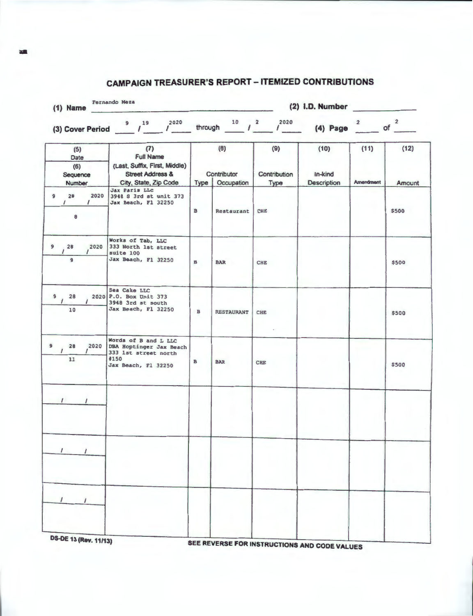| Fernando Meza<br>$(1)$ Name                         |                                                                                                                  |              |                                  | (2) I.D. Number               |                                       |                          |                |
|-----------------------------------------------------|------------------------------------------------------------------------------------------------------------------|--------------|----------------------------------|-------------------------------|---------------------------------------|--------------------------|----------------|
|                                                     | 2020<br>(3) Cover Period $\frac{9}{1.2}$ $\frac{19}{1.2}$ $\frac{2020}{1.2}$                                     |              |                                  | through $10$ $1^2$ $1^{2020}$ | $(4)$ Page                            | $\overline{2}$           | of $2$         |
| (5)<br>Date<br>(6)<br>Sequence<br>Number            | (7)<br><b>Full Name</b><br>(Last, Suffix, First, Middle)<br><b>Street Address &amp;</b><br>City, State, Zip Code | <b>Type</b>  | (8)<br>Contributor<br>Occupation | (9)<br>Contribution<br>Type   | (10)<br>In-kind<br><b>Description</b> | (11)<br><b>Amendment</b> | (12)<br>Amount |
| 2020<br>28<br>9<br>$\prime$<br>$\prime$<br>$\bf{8}$ | <b>Jax Paris LLC</b><br>3948 S 3rd st unit 373<br>Jax Beach, Fl 32250                                            | $\mathbf{B}$ | Restaurant                       | CHE                           |                                       |                          | \$500          |
| $9 \t28$<br>2020<br>$\overline{9}$                  | Works of Tab, LLC<br>333 North 1st street<br>suite 100<br>Jax Beach, F1 32250                                    | $\, {\bf B}$ | <b>BAR</b>                       | <b>CHE</b>                    |                                       |                          | \$500          |
| 9<br>28<br>10                                       | Sea Cake LLC<br>2020 P.O. Box Unit 373<br>3948 3rd st south<br>Jax Beach, Fl 32250                               | $\mathbf{B}$ | <b>RESTAURANT</b>                | CHE                           |                                       |                          | \$500          |
| 28<br>2020<br>11                                    | Words of B and L LLC<br>DBA Hoptinger Jax Beach<br>333 1st street north<br>#150<br>Jax Beach, Fl 32250           | в            | <b>BAR</b>                       | CHE                           |                                       |                          | \$500          |
| $1 \quad 1$                                         |                                                                                                                  |              |                                  |                               |                                       |                          |                |
|                                                     |                                                                                                                  |              |                                  |                               |                                       |                          |                |
|                                                     |                                                                                                                  |              |                                  |                               |                                       |                          |                |
| <b>DS-DE 13 (Rev. 11/13)</b>                        |                                                                                                                  |              |                                  |                               |                                       |                          |                |

## **CAMPAIGN TREASURER'S REPORT - ITEMIZED CONTRIBUTIONS**

SEE REVERSE FOR INSTRUCTIONS AND CODE VALUES